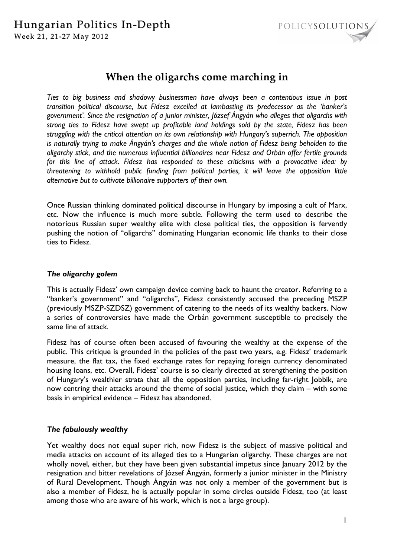

# **When the oligarchs come marching in**

*Ties to big business and shadowy businessmen have always been a contentious issue in post transition political discourse, but Fidesz excelled at lambasting its predecessor as the 'banker's government'. Since the resignation of a junior minister, József Ángyán who alleges that oligarchs with strong ties to Fidesz have swept up profitable land holdings sold by the state, Fidesz has been struggling with the critical attention on its own relationship with Hungary's superrich. The opposition is naturally trying to make Ángyán's charges and the whole notion of Fidesz being beholden to the oligarchy stick, and the numerous influential billionaires near Fidesz and Orbán offer fertile grounds for this line of attack. Fidesz has responded to these criticisms with a provocative idea: by threatening to withhold public funding from political parties, it will leave the opposition little alternative but to cultivate billionaire supporters of their own.* 

Once Russian thinking dominated political discourse in Hungary by imposing a cult of Marx, etc. Now the influence is much more subtle. Following the term used to describe the notorious Russian super wealthy elite with close political ties, the opposition is fervently pushing the notion of "oligarchs" dominating Hungarian economic life thanks to their close ties to Fidesz.

## *The oligarchy golem*

This is actually Fidesz' own campaign device coming back to haunt the creator. Referring to a "banker's government" and "oligarchs", Fidesz consistently accused the preceding MSZP (previously MSZP-SZDSZ) government of catering to the needs of its wealthy backers. Now a series of controversies have made the Orbán government susceptible to precisely the same line of attack.

Fidesz has of course often been accused of favouring the wealthy at the expense of the public. This critique is grounded in the policies of the past two years, e.g. Fidesz' trademark measure, the flat tax, the fixed exchange rates for repaying foreign currency denominated housing loans, etc. Overall, Fidesz' course is so clearly directed at strengthening the position of Hungary's wealthier strata that all the opposition parties, including far-right Jobbik, are now centring their attacks around the theme of social justice, which they claim – with some basis in empirical evidence – Fidesz has abandoned.

## *The fabulously wealthy*

Yet wealthy does not equal super rich, now Fidesz is the subject of massive political and media attacks on account of its alleged ties to a Hungarian oligarchy. These charges are not wholly novel, either, but they have been given substantial impetus since January 2012 by the resignation and bitter revelations of József Ángyán, formerly a junior minister in the Ministry of Rural Development. Though Ángyán was not only a member of the government but is also a member of Fidesz, he is actually popular in some circles outside Fidesz, too (at least among those who are aware of his work, which is not a large group).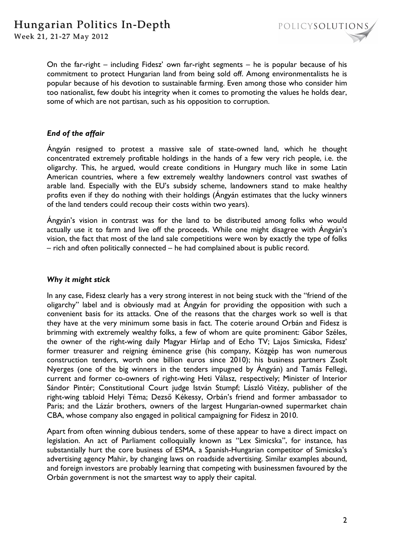

On the far-right – including Fidesz' own far-right segments – he is popular because of his commitment to protect Hungarian land from being sold off. Among environmentalists he is popular because of his devotion to sustainable farming. Even among those who consider him too nationalist, few doubt his integrity when it comes to promoting the values he holds dear, some of which are not partisan, such as his opposition to corruption.

## *End of the affair*

Ángyán resigned to protest a massive sale of state-owned land, which he thought concentrated extremely profitable holdings in the hands of a few very rich people, i.e. the oligarchy. This, he argued, would create conditions in Hungary much like in some Latin American countries, where a few extremely wealthy landowners control vast swathes of arable land. Especially with the EU's subsidy scheme, landowners stand to make healthy profits even if they do nothing with their holdings (Ángyán estimates that the lucky winners of the land tenders could recoup their costs within two years).

Ángyán's vision in contrast was for the land to be distributed among folks who would actually use it to farm and live off the proceeds. While one might disagree with Ángyán's vision, the fact that most of the land sale competitions were won by exactly the type of folks – rich and often politically connected – he had complained about is public record.

## *Why it might stick*

In any case, Fidesz clearly has a very strong interest in not being stuck with the "friend of the oligarchy" label and is obviously mad at Ángyán for providing the opposition with such a convenient basis for its attacks. One of the reasons that the charges work so well is that they have at the very minimum some basis in fact. The coterie around Orbán and Fidesz is brimming with extremely wealthy folks, a few of whom are quite prominent: Gábor Széles, the owner of the right-wing daily Magyar Hírlap and of Echo TV; Lajos Simicska, Fidesz' former treasurer and reigning éminence grise (his company, Közgép has won numerous construction tenders, worth one billion euros since 2010); his business partners Zsolt Nyerges (one of the big winners in the tenders impugned by Ángyán) and Tamás Fellegi, current and former co-owners of right-wing Heti Válasz, respectively; Minister of Interior Sándor Pintér; Constitutional Court judge István Stumpf; László Vitézy, publisher of the right-wing tabloid Helyi Téma; Dezső Kékessy, Orbán's friend and former ambassador to Paris; and the Lázár brothers, owners of the largest Hungarian-owned supermarket chain CBA, whose company also engaged in political campaigning for Fidesz in 2010.

Apart from often winning dubious tenders, some of these appear to have a direct impact on legislation. An act of Parliament colloquially known as "Lex Simicska", for instance, has substantially hurt the core business of ESMA, a Spanish-Hungarian competitor of Simicska's advertising agency Mahir, by changing laws on roadside advertising. Similar examples abound, and foreign investors are probably learning that competing with businessmen favoured by the Orbán government is not the smartest way to apply their capital.